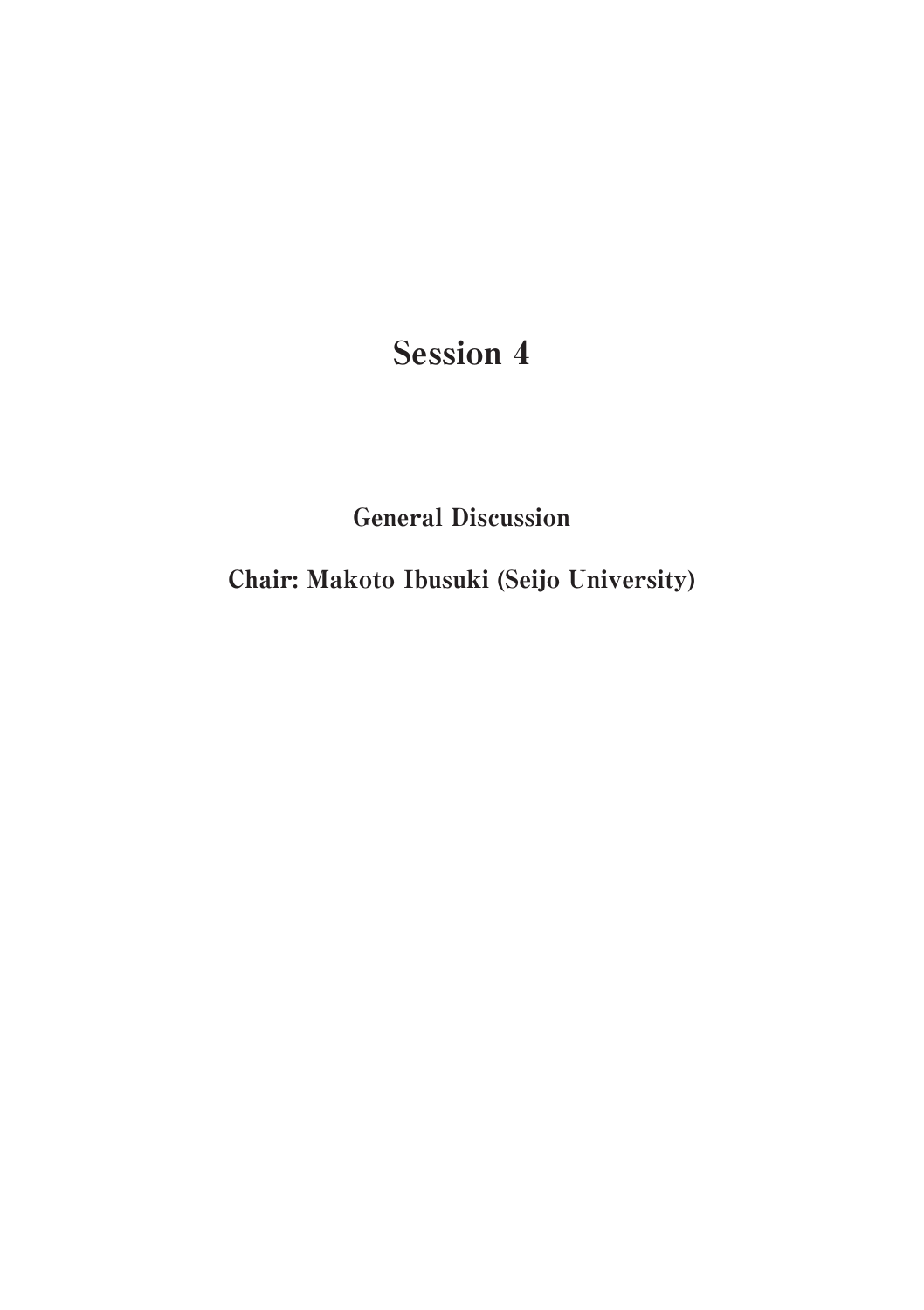# Session 4

General Discussion

Chair: Makoto Ibusuki (Seijo University)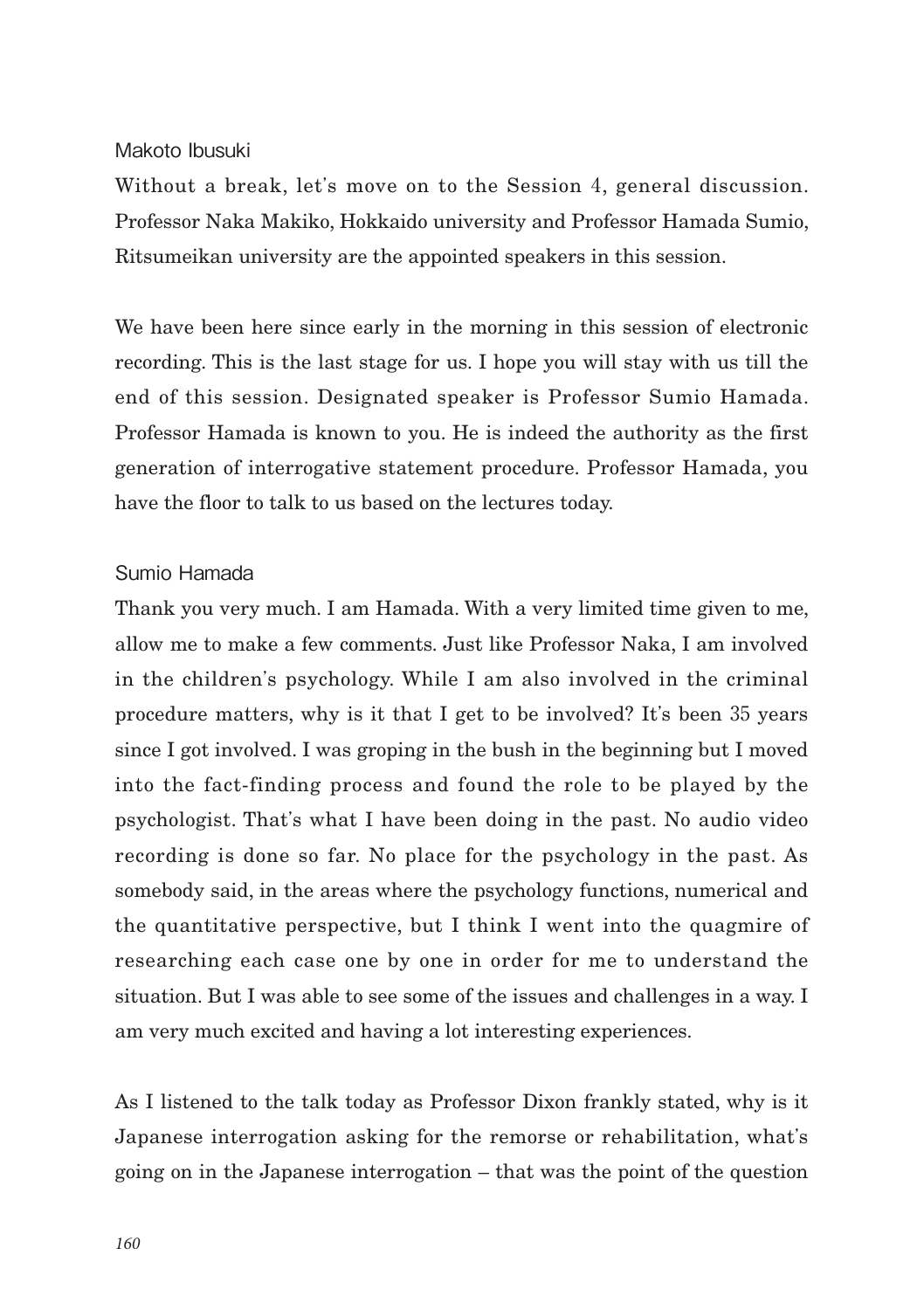### Makoto Ibusuki

Without a break, let's move on to the Session 4, general discussion. Professor Naka Makiko, Hokkaido university and Professor Hamada Sumio, Ritsumeikan university are the appointed speakers in this session.

We have been here since early in the morning in this session of electronic recording. This is the last stage for us. I hope you will stay with us till the end of this session. Designated speaker is Professor Sumio Hamada. Professor Hamada is known to you. He is indeed the authority as the first generation of interrogative statement procedure. Professor Hamada, you have the floor to talk to us based on the lectures today.

### Sumio Hamada

Thank you very much. I am Hamada. With a very limited time given to me, allow me to make a few comments. Just like Professor Naka, I am involved in the children's psychology. While I am also involved in the criminal procedure matters, why is it that I get to be involved? It's been 35 years since I got involved. I was groping in the bush in the beginning but I moved into the fact-finding process and found the role to be played by the psychologist. That's what I have been doing in the past. No audio video recording is done so far. No place for the psychology in the past. As somebody said, in the areas where the psychology functions, numerical and the quantitative perspective, but I think I went into the quagmire of researching each case one by one in order for me to understand the situation. But I was able to see some of the issues and challenges in a way. I am very much excited and having a lot interesting experiences.

As I listened to the talk today as Professor Dixon frankly stated, why is it Japanese interrogation asking for the remorse or rehabilitation, what's going on in the Japanese interrogation – that was the point of the question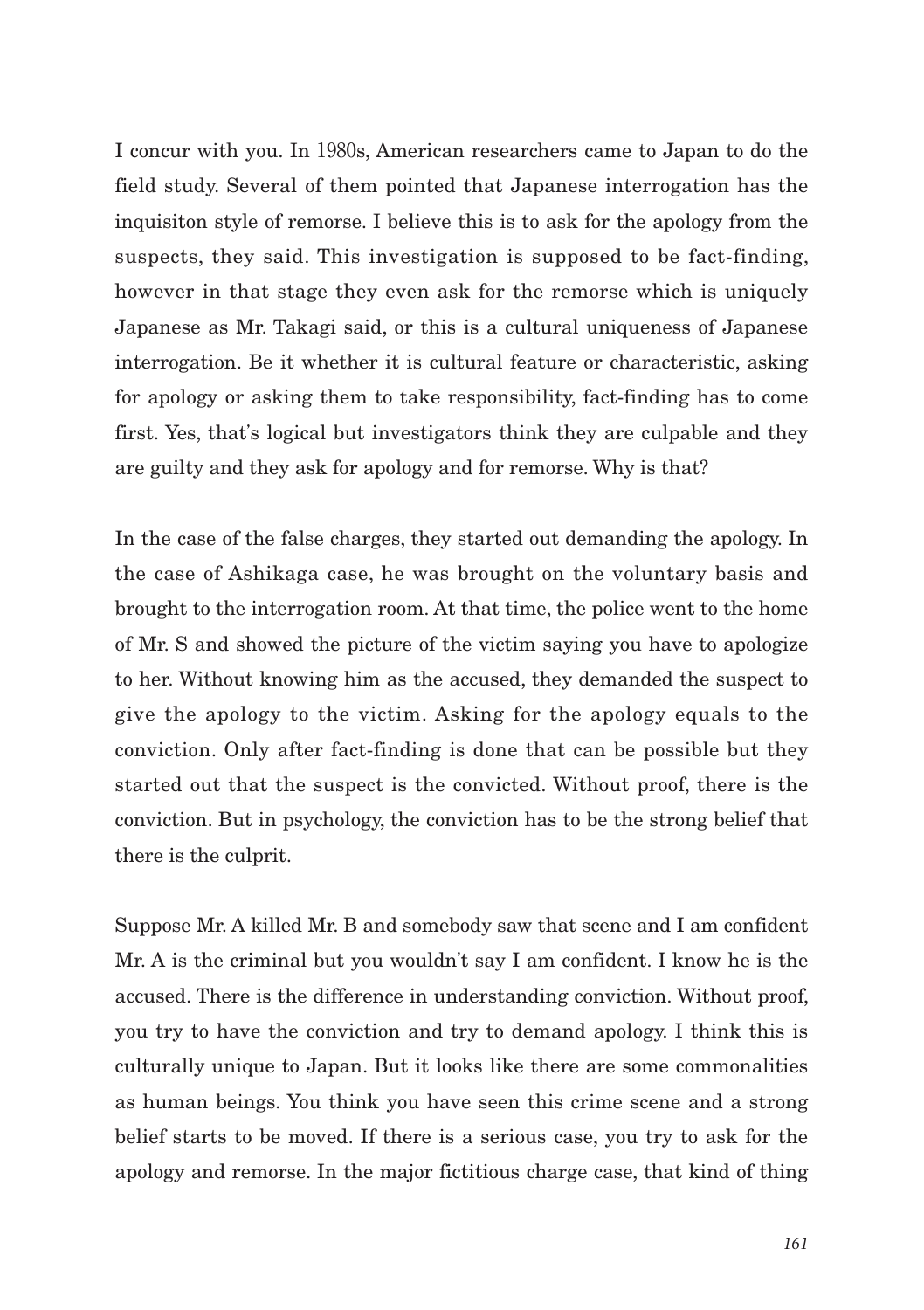I concur with you. In 1980s, American researchers came to Japan to do the field study. Several of them pointed that Japanese interrogation has the inquisiton style of remorse. I believe this is to ask for the apology from the suspects, they said. This investigation is supposed to be fact-finding, however in that stage they even ask for the remorse which is uniquely Japanese as Mr. Takagi said, or this is a cultural uniqueness of Japanese interrogation. Be it whether it is cultural feature or characteristic, asking for apology or asking them to take responsibility, fact-finding has to come first. Yes, that's logical but investigators think they are culpable and they are guilty and they ask for apology and for remorse. Why is that?

In the case of the false charges, they started out demanding the apology. In the case of Ashikaga case, he was brought on the voluntary basis and brought to the interrogation room. At that time, the police went to the home of Mr. S and showed the picture of the victim saying you have to apologize to her. Without knowing him as the accused, they demanded the suspect to give the apology to the victim. Asking for the apology equals to the conviction. Only after fact-finding is done that can be possible but they started out that the suspect is the convicted. Without proof, there is the conviction. But in psychology, the conviction has to be the strong belief that there is the culprit.

Suppose Mr. A killed Mr. B and somebody saw that scene and I am confident Mr. A is the criminal but you wouldn't say I am confident. I know he is the accused. There is the difference in understanding conviction. Without proof, you try to have the conviction and try to demand apology. I think this is culturally unique to Japan. But it looks like there are some commonalities as human beings. You think you have seen this crime scene and a strong belief starts to be moved. If there is a serious case, you try to ask for the apology and remorse. In the major fictitious charge case, that kind of thing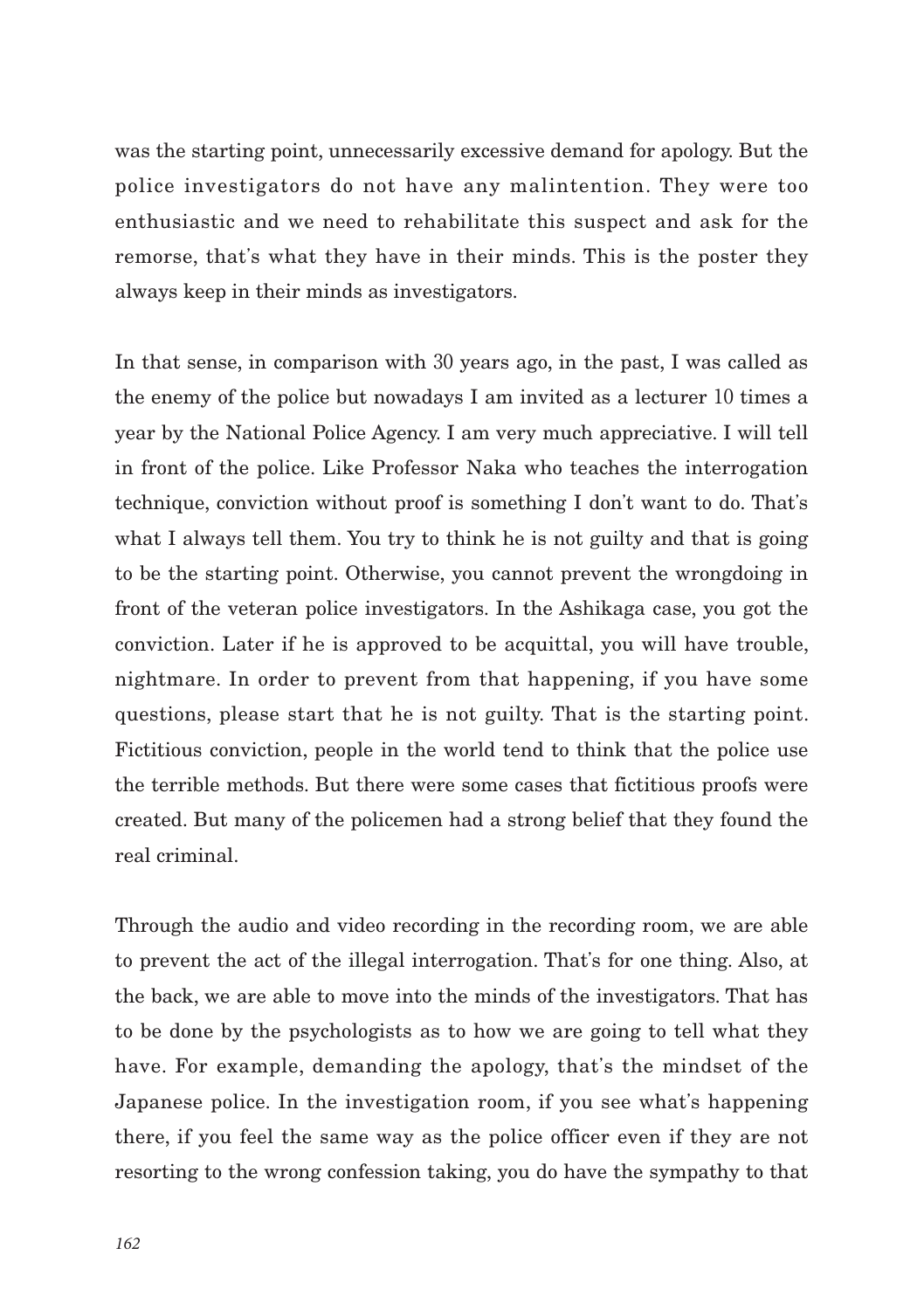was the starting point, unnecessarily excessive demand for apology. But the police investigators do not have any malintention. They were too enthusiastic and we need to rehabilitate this suspect and ask for the remorse, that's what they have in their minds. This is the poster they always keep in their minds as investigators.

In that sense, in comparison with 30 years ago, in the past, I was called as the enemy of the police but nowadays I am invited as a lecturer 10 times a year by the National Police Agency. I am very much appreciative. I will tell in front of the police. Like Professor Naka who teaches the interrogation technique, conviction without proof is something I don't want to do. That's what I always tell them. You try to think he is not guilty and that is going to be the starting point. Otherwise, you cannot prevent the wrongdoing in front of the veteran police investigators. In the Ashikaga case, you got the conviction. Later if he is approved to be acquittal, you will have trouble, nightmare. In order to prevent from that happening, if you have some questions, please start that he is not guilty. That is the starting point. Fictitious conviction, people in the world tend to think that the police use the terrible methods. But there were some cases that fictitious proofs were created. But many of the policemen had a strong belief that they found the real criminal.

Through the audio and video recording in the recording room, we are able to prevent the act of the illegal interrogation. That's for one thing. Also, at the back, we are able to move into the minds of the investigators. That has to be done by the psychologists as to how we are going to tell what they have. For example, demanding the apology, that's the mindset of the Japanese police. In the investigation room, if you see what's happening there, if you feel the same way as the police officer even if they are not resorting to the wrong confession taking, you do have the sympathy to that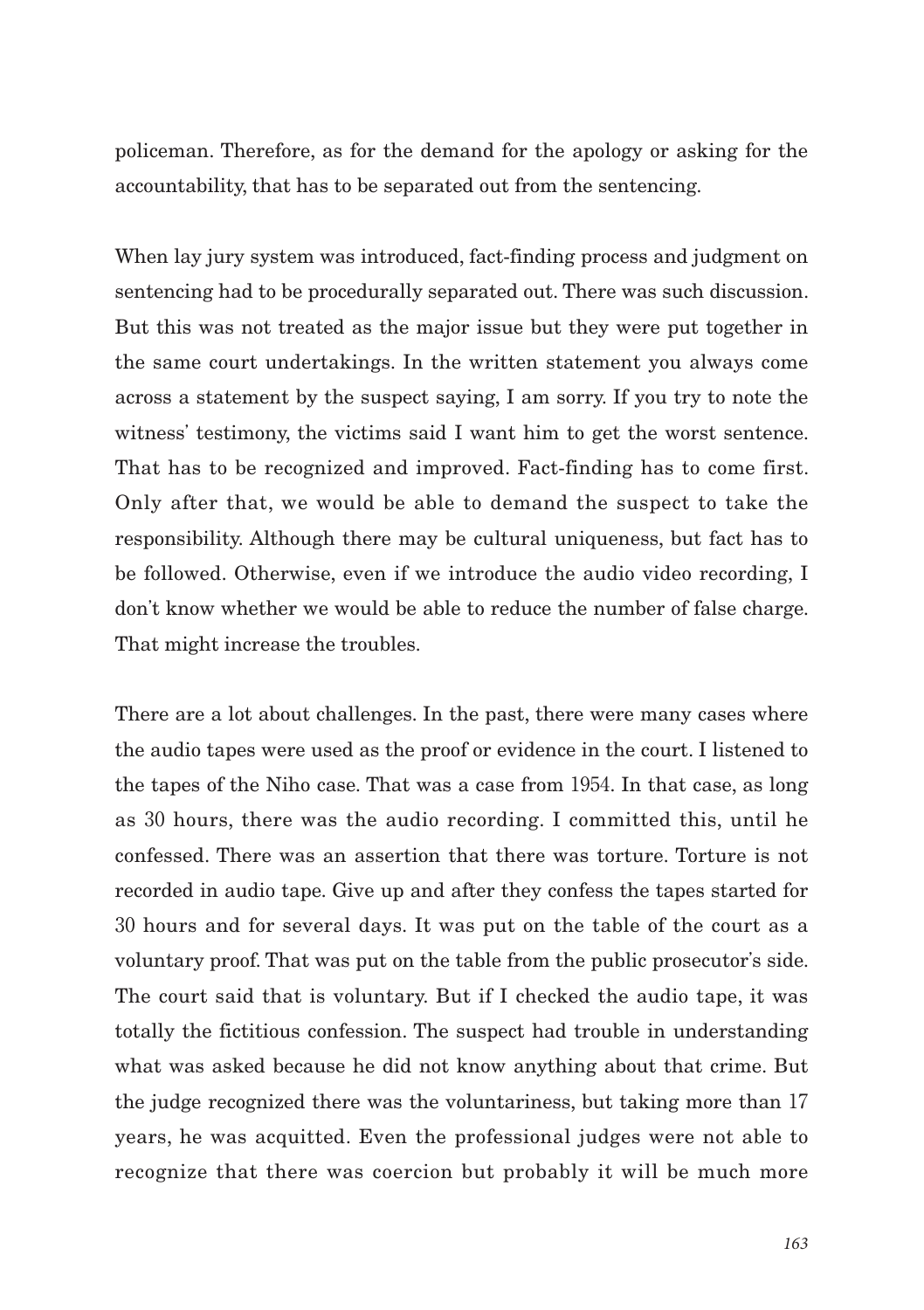policeman. Therefore, as for the demand for the apology or asking for the accountability, that has to be separated out from the sentencing.

When lay jury system was introduced, fact-finding process and judgment on sentencing had to be procedurally separated out. There was such discussion. But this was not treated as the major issue but they were put together in the same court undertakings. In the written statement you always come across a statement by the suspect saying, I am sorry. If you try to note the witness' testimony, the victims said I want him to get the worst sentence. That has to be recognized and improved. Fact-finding has to come first. Only after that, we would be able to demand the suspect to take the responsibility. Although there may be cultural uniqueness, but fact has to be followed. Otherwise, even if we introduce the audio video recording, I don't know whether we would be able to reduce the number of false charge. That might increase the troubles.

There are a lot about challenges. In the past, there were many cases where the audio tapes were used as the proof or evidence in the court. I listened to the tapes of the Niho case. That was a case from 1954. In that case, as long as 30 hours, there was the audio recording. I committed this, until he confessed. There was an assertion that there was torture. Torture is not recorded in audio tape. Give up and after they confess the tapes started for 30 hours and for several days. It was put on the table of the court as a voluntary proof. That was put on the table from the public prosecutor's side. The court said that is voluntary. But if I checked the audio tape, it was totally the fictitious confession. The suspect had trouble in understanding what was asked because he did not know anything about that crime. But the judge recognized there was the voluntariness, but taking more than 17 years, he was acquitted. Even the professional judges were not able to recognize that there was coercion but probably it will be much more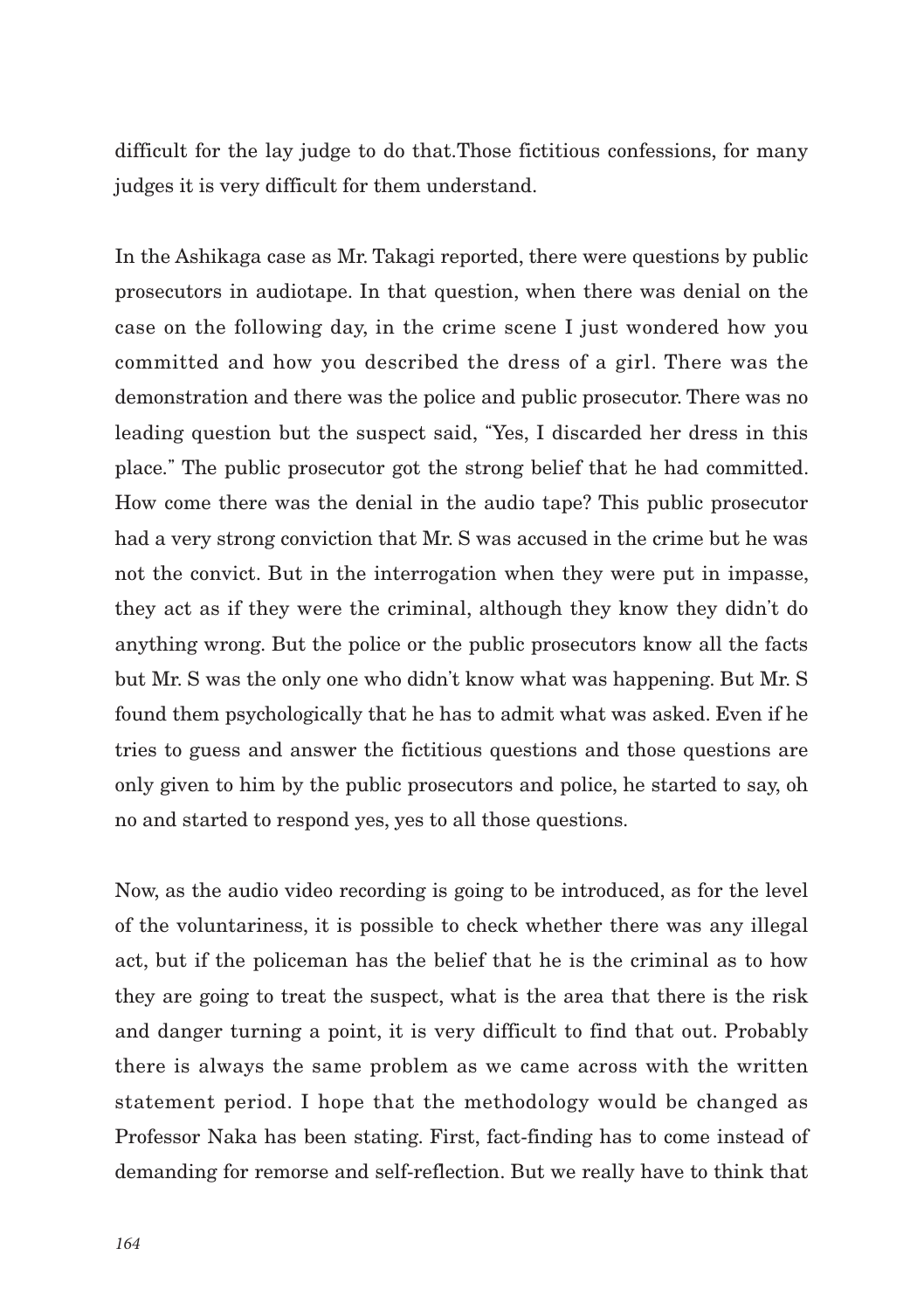difficult for the lay judge to do that.Those fictitious confessions, for many judges it is very difficult for them understand.

In the Ashikaga case as Mr. Takagi reported, there were questions by public prosecutors in audiotape. In that question, when there was denial on the case on the following day, in the crime scene I just wondered how you committed and how you described the dress of a girl. There was the demonstration and there was the police and public prosecutor. There was no leading question but the suspect said, "Yes, I discarded her dress in this place." The public prosecutor got the strong belief that he had committed. How come there was the denial in the audio tape? This public prosecutor had a very strong conviction that Mr. S was accused in the crime but he was not the convict. But in the interrogation when they were put in impasse, they act as if they were the criminal, although they know they didn't do anything wrong. But the police or the public prosecutors know all the facts but Mr. S was the only one who didn't know what was happening. But Mr. S found them psychologically that he has to admit what was asked. Even if he tries to guess and answer the fictitious questions and those questions are only given to him by the public prosecutors and police, he started to say, oh no and started to respond yes, yes to all those questions.

Now, as the audio video recording is going to be introduced, as for the level of the voluntariness, it is possible to check whether there was any illegal act, but if the policeman has the belief that he is the criminal as to how they are going to treat the suspect, what is the area that there is the risk and danger turning a point, it is very difficult to find that out. Probably there is always the same problem as we came across with the written statement period. I hope that the methodology would be changed as Professor Naka has been stating. First, fact-finding has to come instead of demanding for remorse and self-reflection. But we really have to think that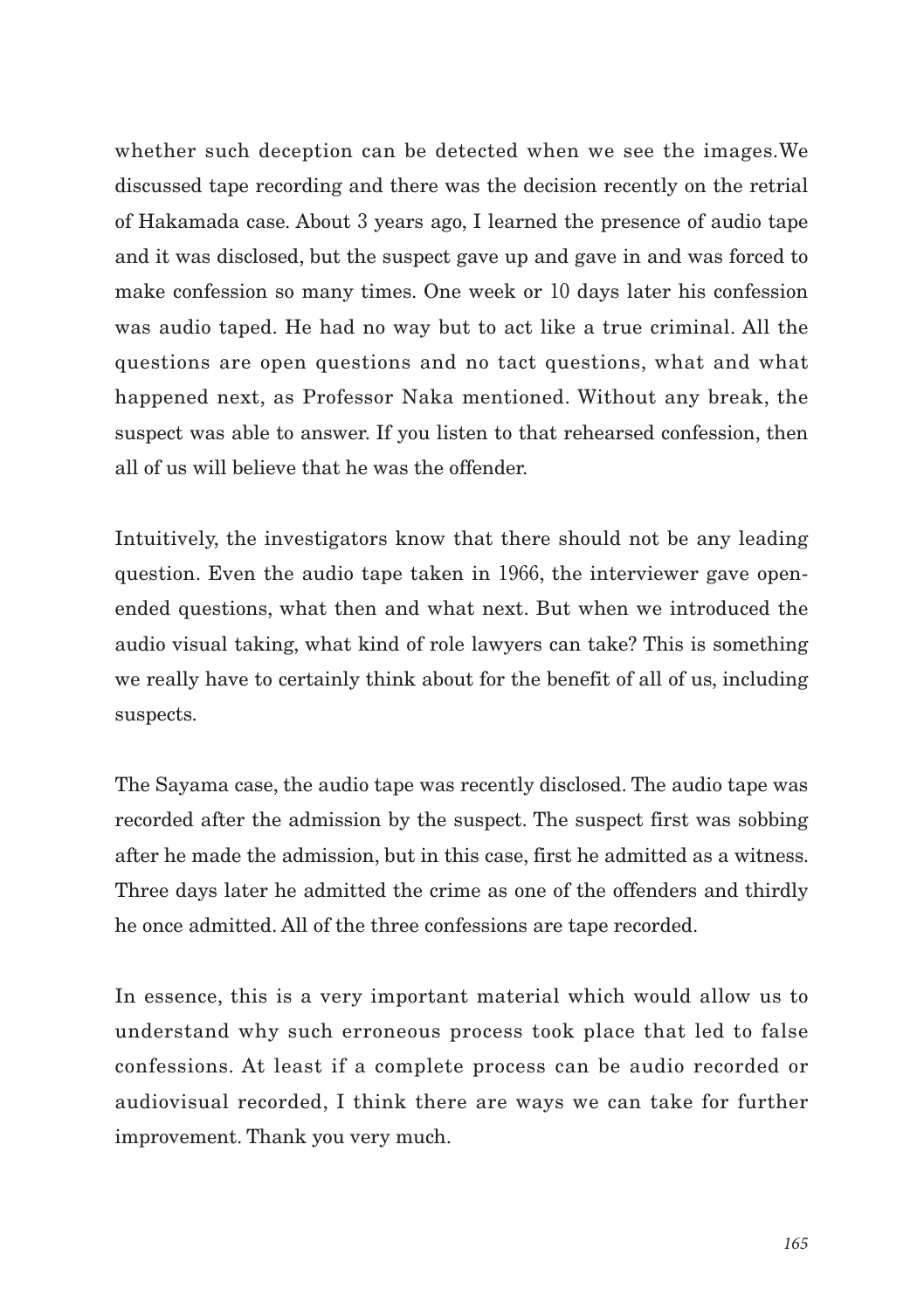whether such deception can be detected when we see the images.We discussed tape recording and there was the decision recently on the retrial of Hakamada case. About 3 years ago, I learned the presence of audio tape and it was disclosed, but the suspect gave up and gave in and was forced to make confession so many times. One week or 10 days later his confession was audio taped. He had no way but to act like a true criminal. All the questions are open questions and no tact questions, what and what happened next, as Professor Naka mentioned. Without any break, the suspect was able to answer. If you listen to that rehearsed confession, then all of us will believe that he was the offender.

Intuitively, the investigators know that there should not be any leading question. Even the audio tape taken in 1966, the interviewer gave openended questions, what then and what next. But when we introduced the audio visual taking, what kind of role lawyers can take? This is something we really have to certainly think about for the benefit of all of us, including suspects.

The Sayama case, the audio tape was recently disclosed. The audio tape was recorded after the admission by the suspect. The suspect first was sobbing after he made the admission, but in this case, first he admitted as a witness. Three days later he admitted the crime as one of the offenders and thirdly he once admitted. All of the three confessions are tape recorded.

In essence, this is a very important material which would allow us to understand why such erroneous process took place that led to false confessions. At least if a complete process can be audio recorded or audiovisual recorded, I think there are ways we can take for further improvement. Thank you very much.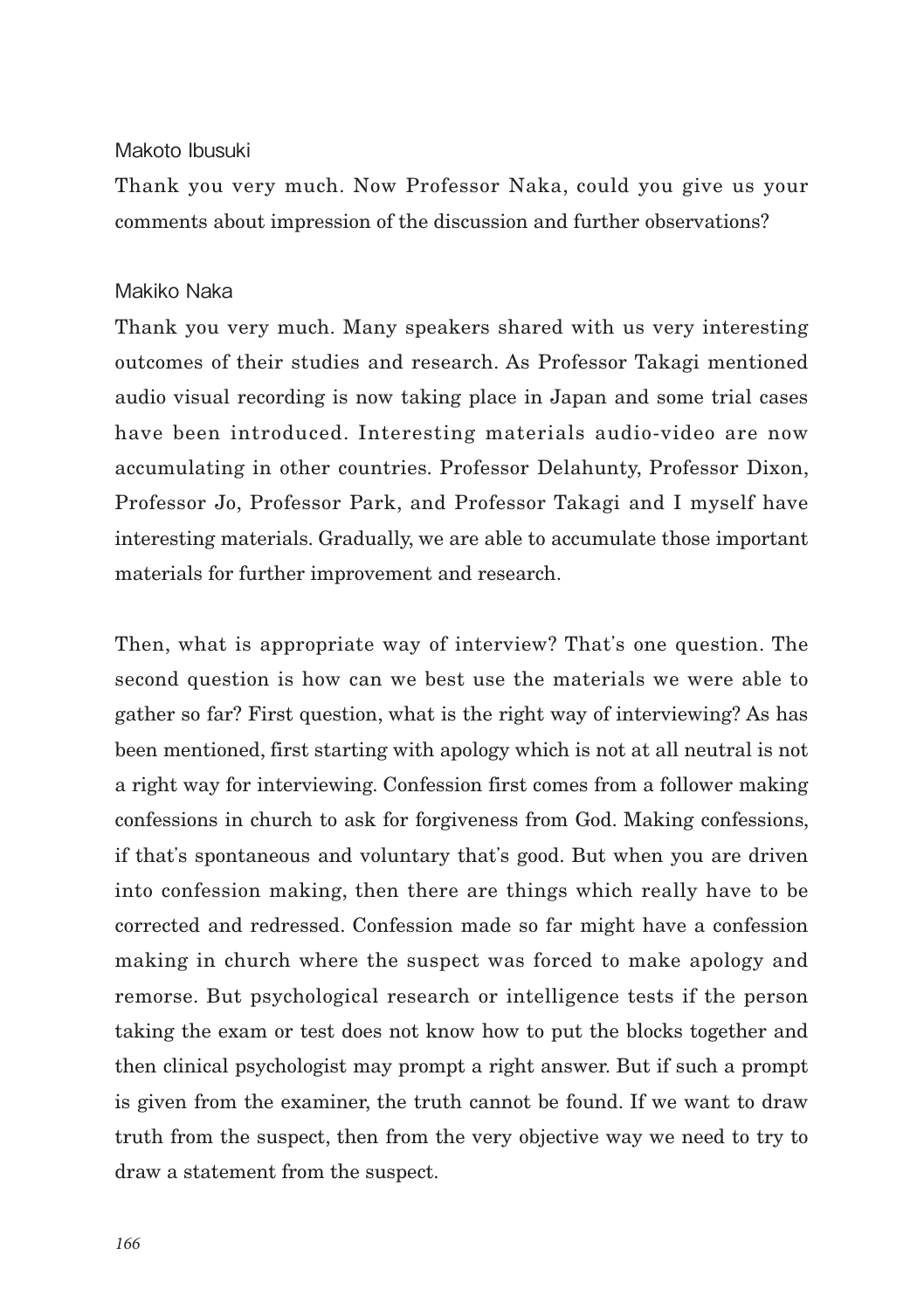#### Makoto Ibusuki

Thank you very much. Now Professor Naka, could you give us your comments about impression of the discussion and further observations?

### Makiko Naka

Thank you very much. Many speakers shared with us very interesting outcomes of their studies and research. As Professor Takagi mentioned audio visual recording is now taking place in Japan and some trial cases have been introduced. Interesting materials audio-video are now accumulating in other countries. Professor Delahunty, Professor Dixon, Professor Jo, Professor Park, and Professor Takagi and I myself have interesting materials. Gradually, we are able to accumulate those important materials for further improvement and research.

Then, what is appropriate way of interview? That's one question. The second question is how can we best use the materials we were able to gather so far? First question, what is the right way of interviewing? As has been mentioned, first starting with apology which is not at all neutral is not a right way for interviewing. Confession first comes from a follower making confessions in church to ask for forgiveness from God. Making confessions, if that's spontaneous and voluntary that's good. But when you are driven into confession making, then there are things which really have to be corrected and redressed. Confession made so far might have a confession making in church where the suspect was forced to make apology and remorse. But psychological research or intelligence tests if the person taking the exam or test does not know how to put the blocks together and then clinical psychologist may prompt a right answer. But if such a prompt is given from the examiner, the truth cannot be found. If we want to draw truth from the suspect, then from the very objective way we need to try to draw a statement from the suspect.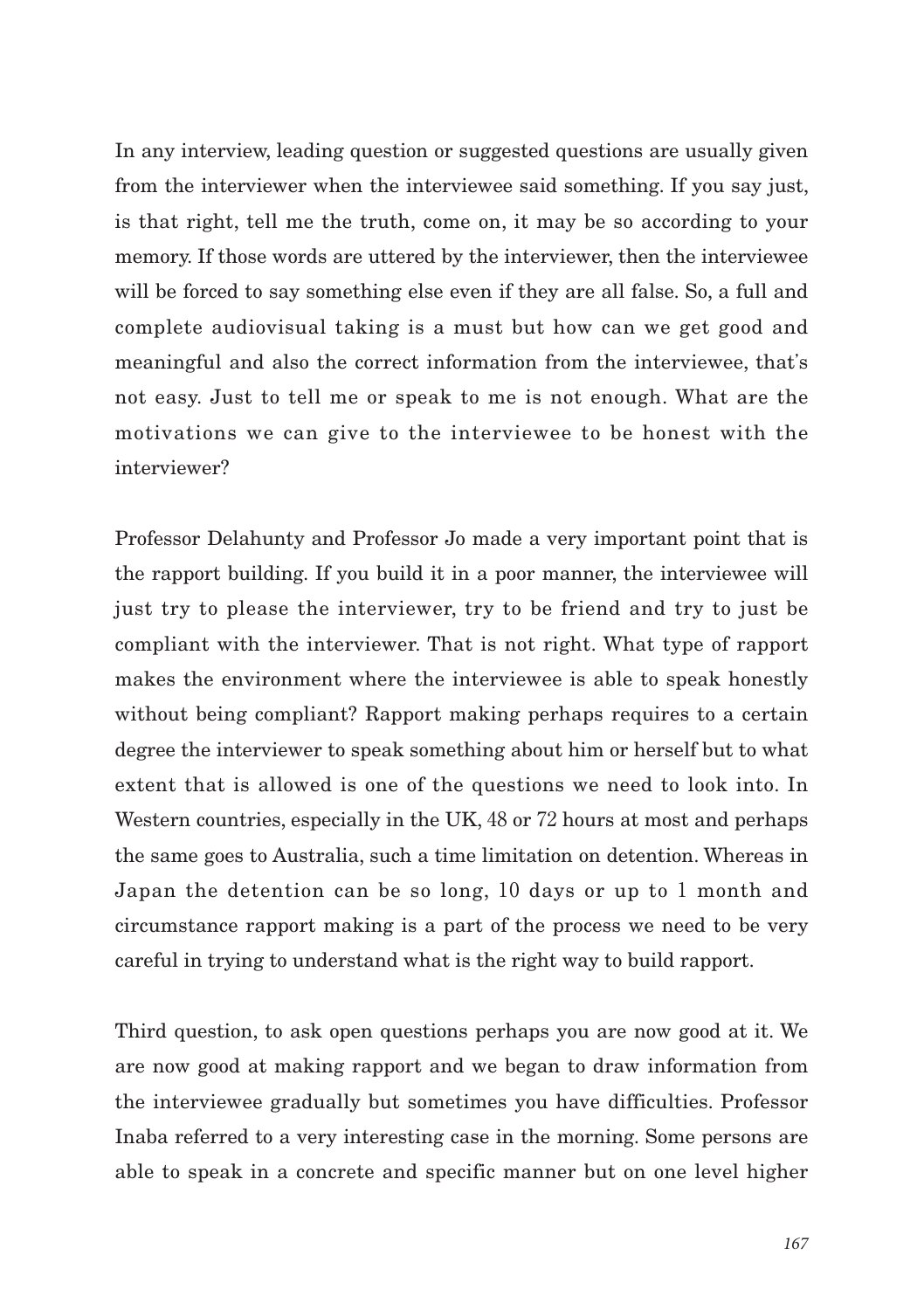In any interview, leading question or suggested questions are usually given from the interviewer when the interviewee said something. If you say just, is that right, tell me the truth, come on, it may be so according to your memory. If those words are uttered by the interviewer, then the interviewee will be forced to say something else even if they are all false. So, a full and complete audiovisual taking is a must but how can we get good and meaningful and also the correct information from the interviewee, that's not easy. Just to tell me or speak to me is not enough. What are the motivations we can give to the interviewee to be honest with the interviewer?

Professor Delahunty and Professor Jo made a very important point that is the rapport building. If you build it in a poor manner, the interviewee will just try to please the interviewer, try to be friend and try to just be compliant with the interviewer. That is not right. What type of rapport makes the environment where the interviewee is able to speak honestly without being compliant? Rapport making perhaps requires to a certain degree the interviewer to speak something about him or herself but to what extent that is allowed is one of the questions we need to look into. In Western countries, especially in the UK, 48 or 72 hours at most and perhaps the same goes to Australia, such a time limitation on detention. Whereas in Japan the detention can be so long, 10 days or up to 1 month and circumstance rapport making is a part of the process we need to be very careful in trying to understand what is the right way to build rapport.

Third question, to ask open questions perhaps you are now good at it. We are now good at making rapport and we began to draw information from the interviewee gradually but sometimes you have difficulties. Professor Inaba referred to a very interesting case in the morning. Some persons are able to speak in a concrete and specific manner but on one level higher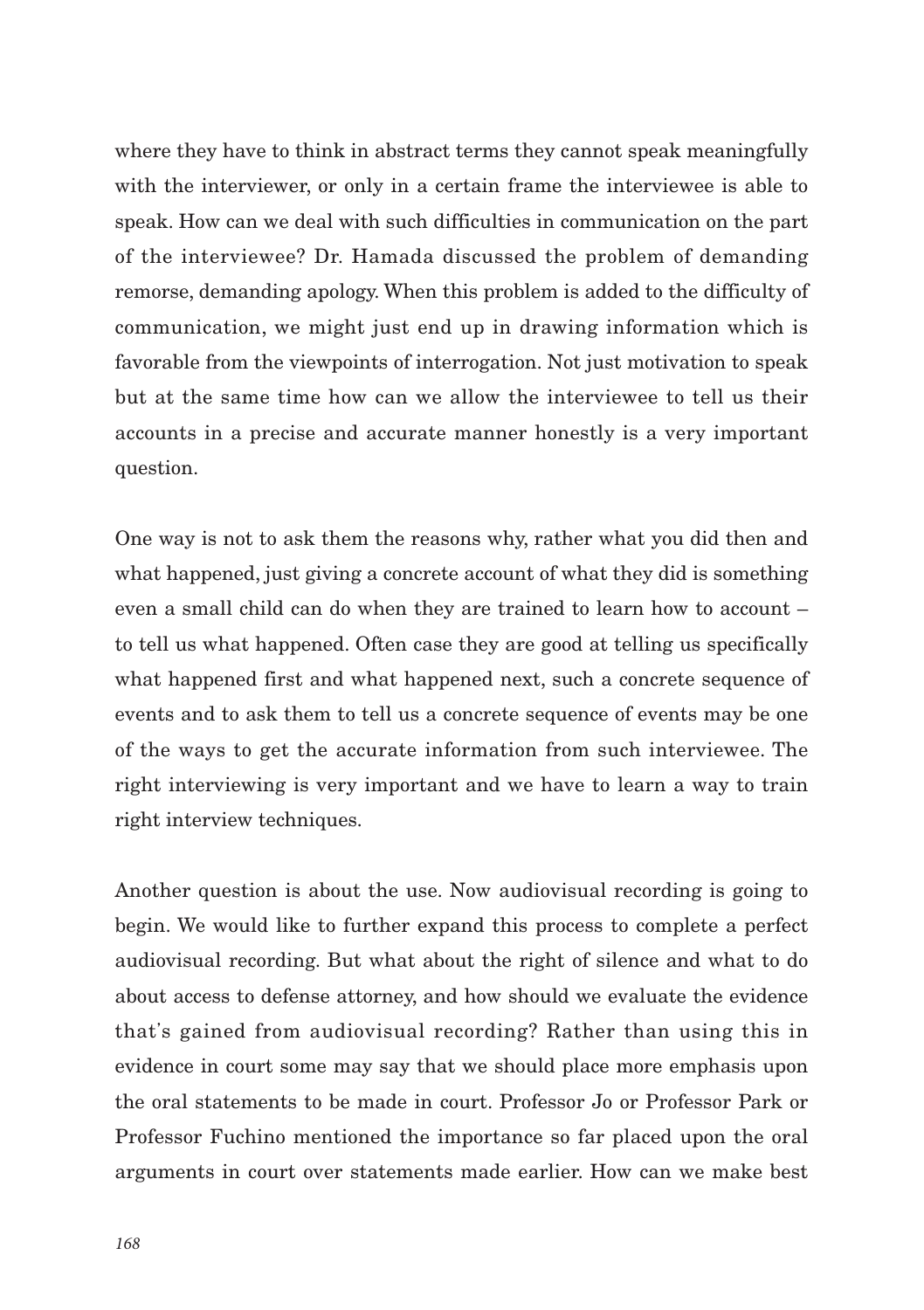where they have to think in abstract terms they cannot speak meaningfully with the interviewer, or only in a certain frame the interviewee is able to speak. How can we deal with such difficulties in communication on the part of the interviewee? Dr. Hamada discussed the problem of demanding remorse, demanding apology. When this problem is added to the difficulty of communication, we might just end up in drawing information which is favorable from the viewpoints of interrogation. Not just motivation to speak but at the same time how can we allow the interviewee to tell us their accounts in a precise and accurate manner honestly is a very important question.

One way is not to ask them the reasons why, rather what you did then and what happened, just giving a concrete account of what they did is something even a small child can do when they are trained to learn how to account – to tell us what happened. Often case they are good at telling us specifically what happened first and what happened next, such a concrete sequence of events and to ask them to tell us a concrete sequence of events may be one of the ways to get the accurate information from such interviewee. The right interviewing is very important and we have to learn a way to train right interview techniques.

Another question is about the use. Now audiovisual recording is going to begin. We would like to further expand this process to complete a perfect audiovisual recording. But what about the right of silence and what to do about access to defense attorney, and how should we evaluate the evidence that's gained from audiovisual recording? Rather than using this in evidence in court some may say that we should place more emphasis upon the oral statements to be made in court. Professor Jo or Professor Park or Professor Fuchino mentioned the importance so far placed upon the oral arguments in court over statements made earlier. How can we make best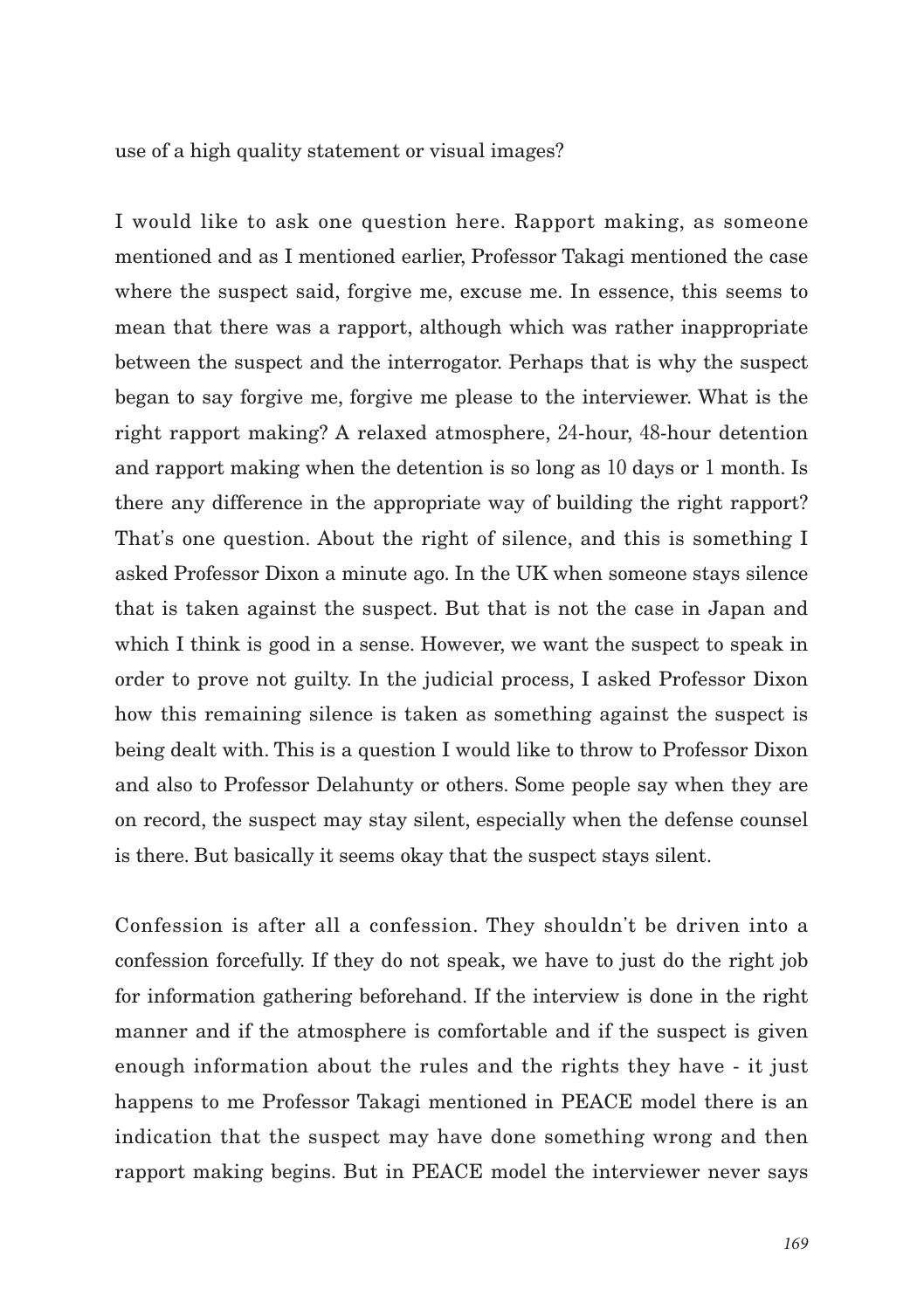use of a high quality statement or visual images?

I would like to ask one question here. Rapport making, as someone mentioned and as I mentioned earlier, Professor Takagi mentioned the case where the suspect said, forgive me, excuse me. In essence, this seems to mean that there was a rapport, although which was rather inappropriate between the suspect and the interrogator. Perhaps that is why the suspect began to say forgive me, forgive me please to the interviewer. What is the right rapport making? A relaxed atmosphere, 24-hour, 48-hour detention and rapport making when the detention is so long as 10 days or 1 month. Is there any difference in the appropriate way of building the right rapport? That's one question. About the right of silence, and this is something I asked Professor Dixon a minute ago. In the UK when someone stays silence that is taken against the suspect. But that is not the case in Japan and which I think is good in a sense. However, we want the suspect to speak in order to prove not guilty. In the judicial process, I asked Professor Dixon how this remaining silence is taken as something against the suspect is being dealt with. This is a question I would like to throw to Professor Dixon and also to Professor Delahunty or others. Some people say when they are on record, the suspect may stay silent, especially when the defense counsel is there. But basically it seems okay that the suspect stays silent.

Confession is after all a confession. They shouldn't be driven into a confession forcefully. If they do not speak, we have to just do the right job for information gathering beforehand. If the interview is done in the right manner and if the atmosphere is comfortable and if the suspect is given enough information about the rules and the rights they have - it just happens to me Professor Takagi mentioned in PEACE model there is an indication that the suspect may have done something wrong and then rapport making begins. But in PEACE model the interviewer never says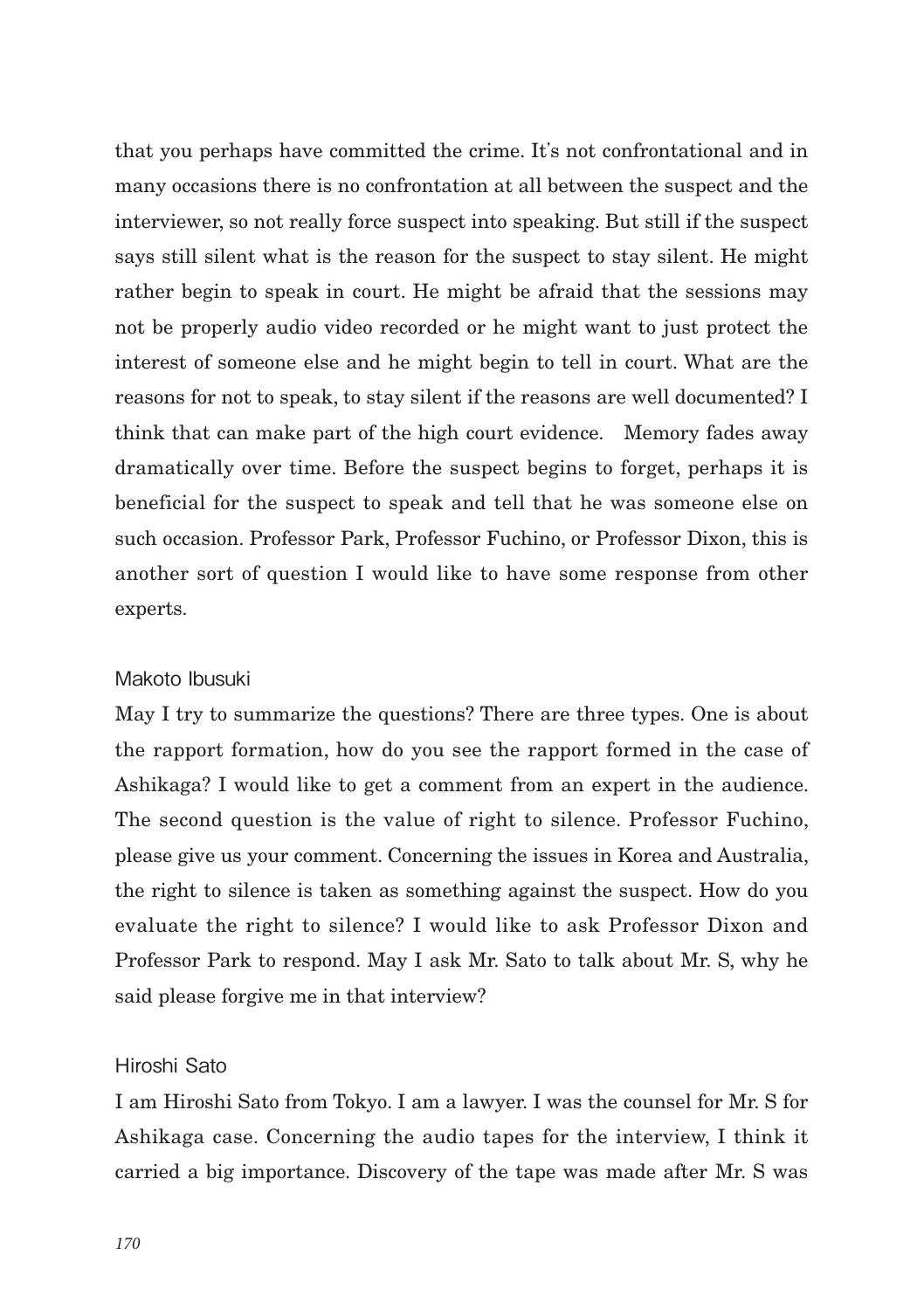that you perhaps have committed the crime. It's not confrontational and in many occasions there is no confrontation at all between the suspect and the interviewer, so not really force suspect into speaking. But still if the suspect says still silent what is the reason for the suspect to stay silent. He might rather begin to speak in court. He might be afraid that the sessions may not be properly audio video recorded or he might want to just protect the interest of someone else and he might begin to tell in court. What are the reasons for not to speak, to stay silent if the reasons are well documented? I think that can make part of the high court evidence. Memory fades away dramatically over time. Before the suspect begins to forget, perhaps it is beneficial for the suspect to speak and tell that he was someone else on such occasion. Professor Park, Professor Fuchino, or Professor Dixon, this is another sort of question I would like to have some response from other experts.

#### Makoto Ibusuki

May I try to summarize the questions? There are three types. One is about the rapport formation, how do you see the rapport formed in the case of Ashikaga? I would like to get a comment from an expert in the audience. The second question is the value of right to silence. Professor Fuchino, please give us your comment. Concerning the issues in Korea and Australia, the right to silence is taken as something against the suspect. How do you evaluate the right to silence? I would like to ask Professor Dixon and Professor Park to respond. May I ask Mr. Sato to talk about Mr. S, why he said please forgive me in that interview?

## Hiroshi Sato

I am Hiroshi Sato from Tokyo. I am a lawyer. I was the counsel for Mr. S for Ashikaga case. Concerning the audio tapes for the interview, I think it carried a big importance. Discovery of the tape was made after Mr. S was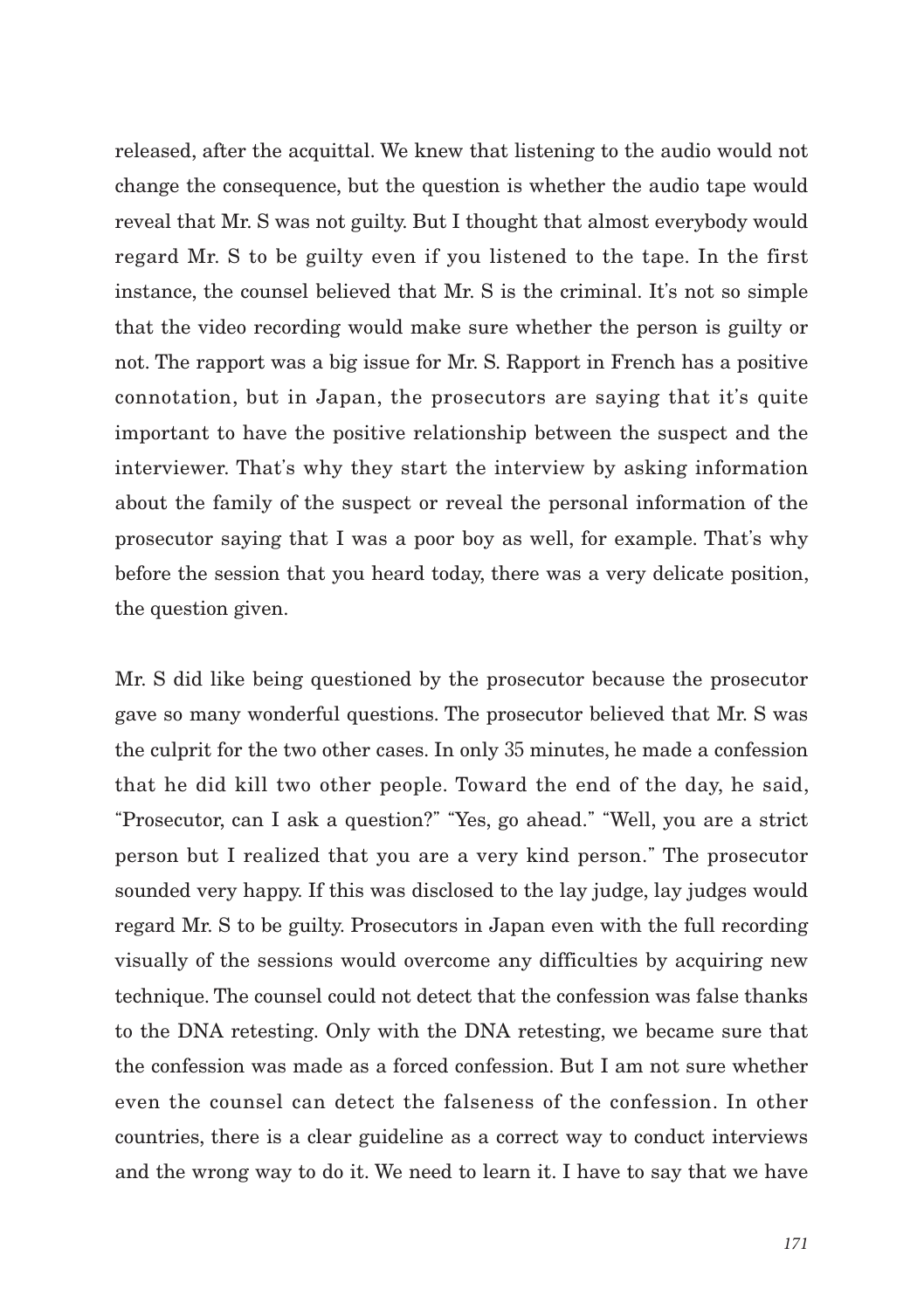released, after the acquittal. We knew that listening to the audio would not change the consequence, but the question is whether the audio tape would reveal that Mr. S was not guilty. But I thought that almost everybody would regard Mr. S to be guilty even if you listened to the tape. In the first instance, the counsel believed that Mr. S is the criminal. It's not so simple that the video recording would make sure whether the person is guilty or not. The rapport was a big issue for Mr. S. Rapport in French has a positive connotation, but in Japan, the prosecutors are saying that it's quite important to have the positive relationship between the suspect and the interviewer. That's why they start the interview by asking information about the family of the suspect or reveal the personal information of the prosecutor saying that I was a poor boy as well, for example. That's why before the session that you heard today, there was a very delicate position, the question given.

Mr. S did like being questioned by the prosecutor because the prosecutor gave so many wonderful questions. The prosecutor believed that Mr. S was the culprit for the two other cases. In only 35 minutes, he made a confession that he did kill two other people. Toward the end of the day, he said, "Prosecutor, can I ask a question?" "Yes, go ahead." "Well, you are a strict person but I realized that you are a very kind person." The prosecutor sounded very happy. If this was disclosed to the lay judge, lay judges would regard Mr. S to be guilty. Prosecutors in Japan even with the full recording visually of the sessions would overcome any difficulties by acquiring new technique. The counsel could not detect that the confession was false thanks to the DNA retesting. Only with the DNA retesting, we became sure that the confession was made as a forced confession. But I am not sure whether even the counsel can detect the falseness of the confession. In other countries, there is a clear guideline as a correct way to conduct interviews and the wrong way to do it. We need to learn it. I have to say that we have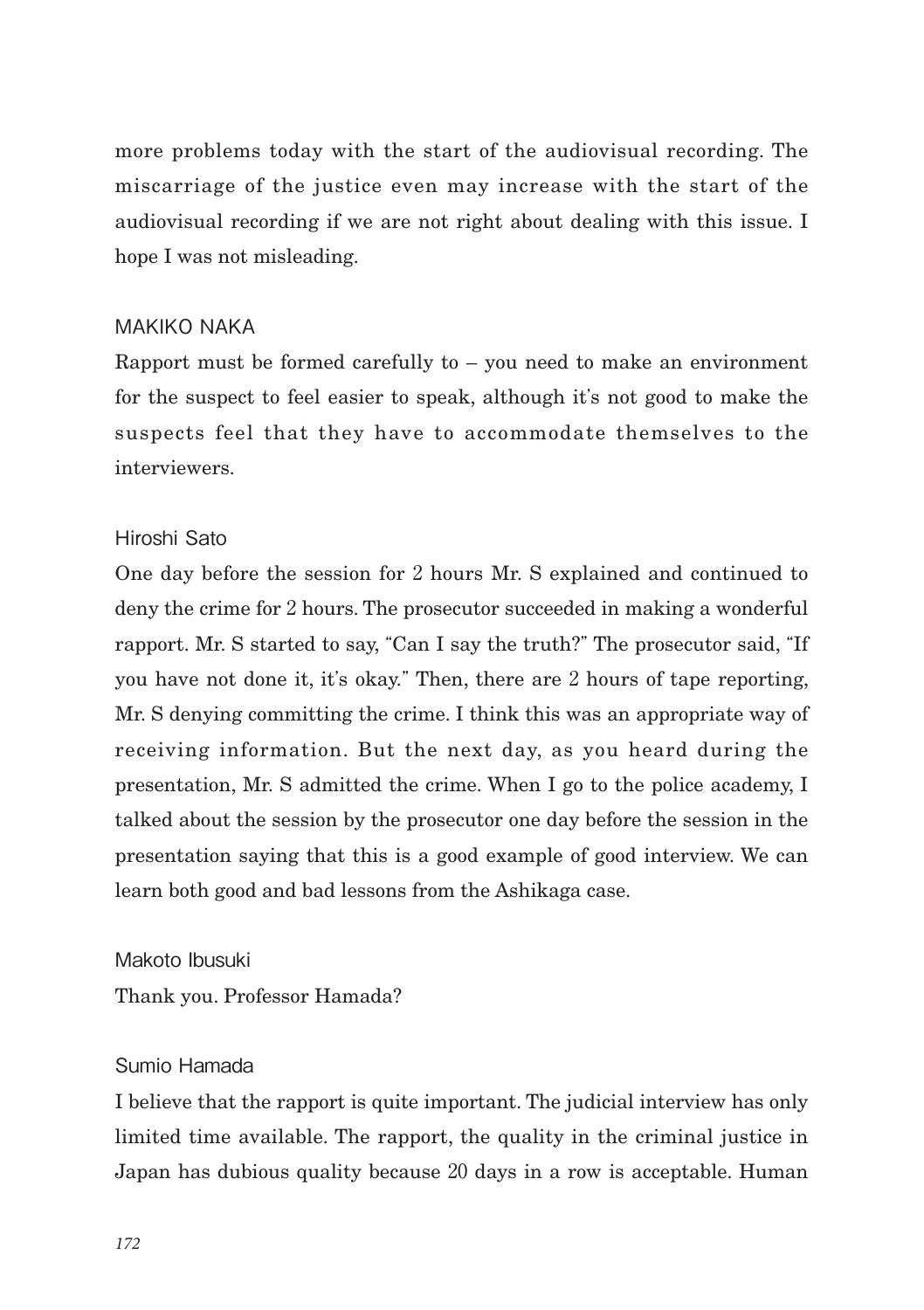more problems today with the start of the audiovisual recording. The miscarriage of the justice even may increase with the start of the audiovisual recording if we are not right about dealing with this issue. I hope I was not misleading.

## MAKIKO NAKA

Rapport must be formed carefully to – you need to make an environment for the suspect to feel easier to speak, although it's not good to make the suspects feel that they have to accommodate themselves to the interviewers.

# Hiroshi Sato

One day before the session for 2 hours Mr. S explained and continued to deny the crime for 2 hours. The prosecutor succeeded in making a wonderful rapport. Mr. S started to say, "Can I say the truth?" The prosecutor said, "If you have not done it, it's okay." Then, there are 2 hours of tape reporting, Mr. S denying committing the crime. I think this was an appropriate way of receiving information. But the next day, as you heard during the presentation, Mr. S admitted the crime. When I go to the police academy, I talked about the session by the prosecutor one day before the session in the presentation saying that this is a good example of good interview. We can learn both good and bad lessons from the Ashikaga case.

Makoto Ibusuki Thank you. Professor Hamada?

# Sumio Hamada

I believe that the rapport is quite important. The judicial interview has only limited time available. The rapport, the quality in the criminal justice in Japan has dubious quality because 20 days in a row is acceptable. Human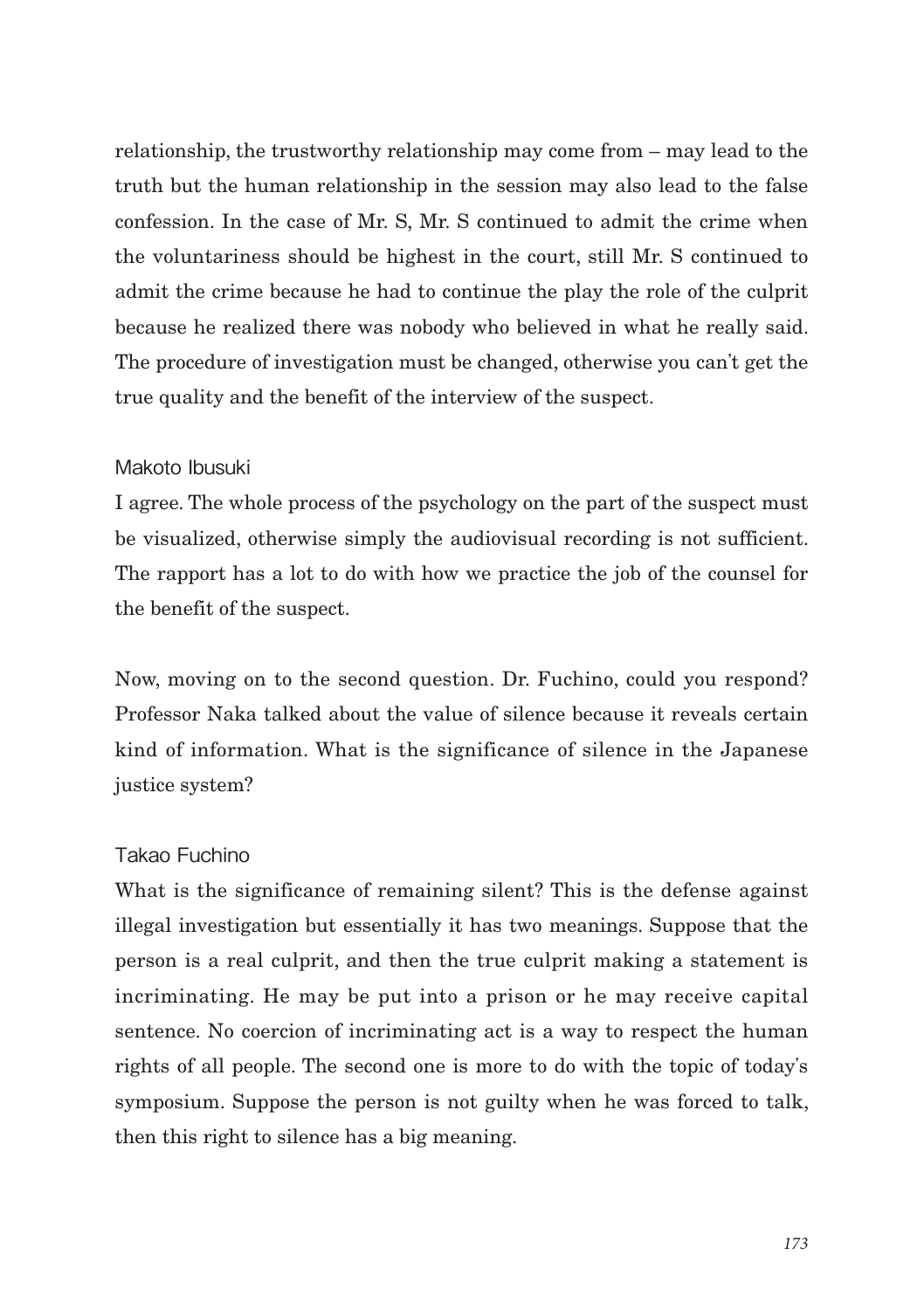relationship, the trustworthy relationship may come from – may lead to the truth but the human relationship in the session may also lead to the false confession. In the case of Mr. S, Mr. S continued to admit the crime when the voluntariness should be highest in the court, still Mr. S continued to admit the crime because he had to continue the play the role of the culprit because he realized there was nobody who believed in what he really said. The procedure of investigation must be changed, otherwise you can't get the true quality and the benefit of the interview of the suspect.

### Makoto Ibusuki

I agree. The whole process of the psychology on the part of the suspect must be visualized, otherwise simply the audiovisual recording is not sufficient. The rapport has a lot to do with how we practice the job of the counsel for the benefit of the suspect.

Now, moving on to the second question. Dr. Fuchino, could you respond? Professor Naka talked about the value of silence because it reveals certain kind of information. What is the significance of silence in the Japanese justice system?

### Takao Fuchino

What is the significance of remaining silent? This is the defense against illegal investigation but essentially it has two meanings. Suppose that the person is a real culprit, and then the true culprit making a statement is incriminating. He may be put into a prison or he may receive capital sentence. No coercion of incriminating act is a way to respect the human rights of all people. The second one is more to do with the topic of today's symposium. Suppose the person is not guilty when he was forced to talk, then this right to silence has a big meaning.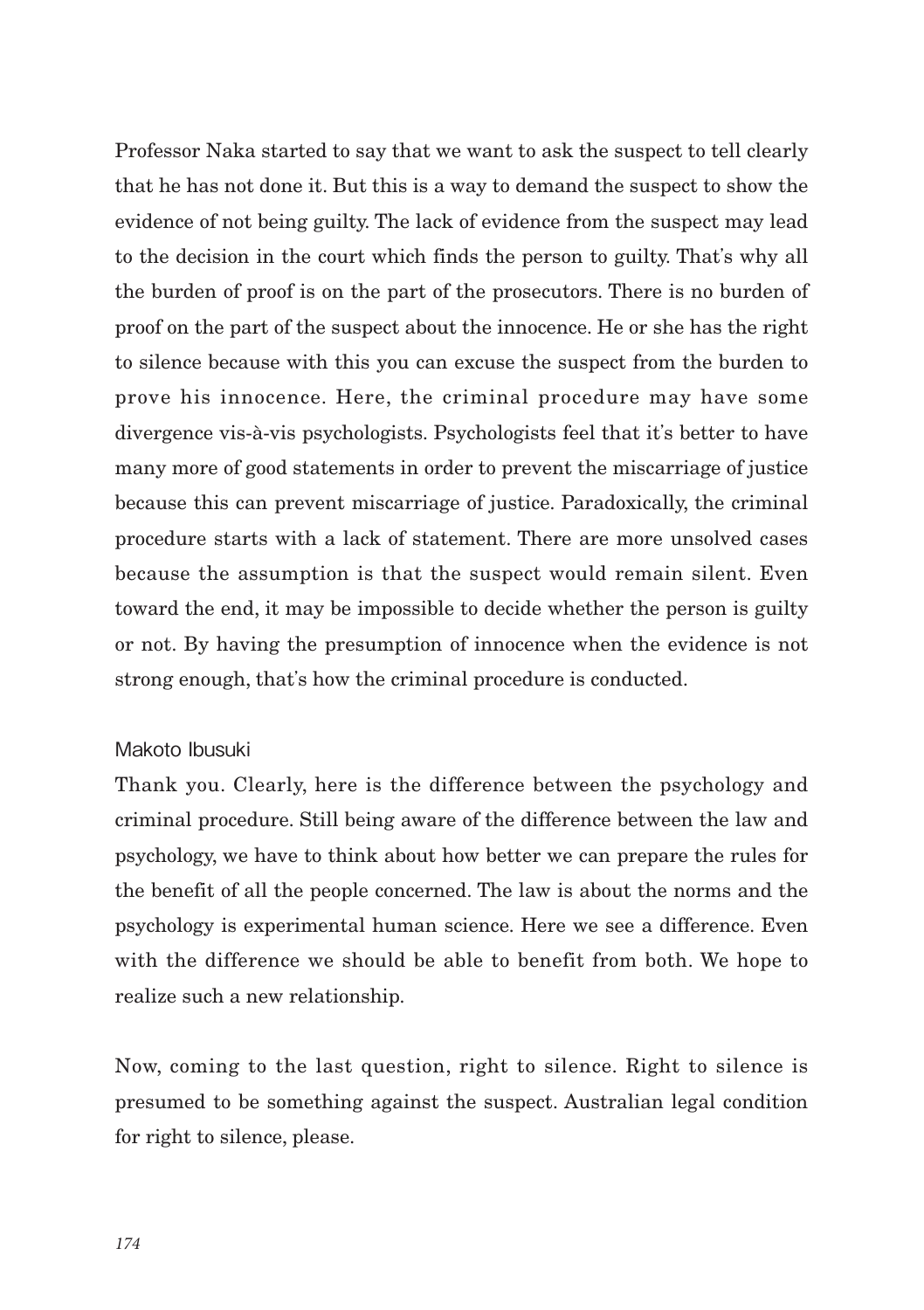Professor Naka started to say that we want to ask the suspect to tell clearly that he has not done it. But this is a way to demand the suspect to show the evidence of not being guilty. The lack of evidence from the suspect may lead to the decision in the court which finds the person to guilty. That's why all the burden of proof is on the part of the prosecutors. There is no burden of proof on the part of the suspect about the innocence. He or she has the right to silence because with this you can excuse the suspect from the burden to prove his innocence. Here, the criminal procedure may have some divergence vis-à-vis psychologists. Psychologists feel that it's better to have many more of good statements in order to prevent the miscarriage of justice because this can prevent miscarriage of justice. Paradoxically, the criminal procedure starts with a lack of statement. There are more unsolved cases because the assumption is that the suspect would remain silent. Even toward the end, it may be impossible to decide whether the person is guilty or not. By having the presumption of innocence when the evidence is not strong enough, that's how the criminal procedure is conducted.

### Makoto Ibusuki

Thank you. Clearly, here is the difference between the psychology and criminal procedure. Still being aware of the difference between the law and psychology, we have to think about how better we can prepare the rules for the benefit of all the people concerned. The law is about the norms and the psychology is experimental human science. Here we see a difference. Even with the difference we should be able to benefit from both. We hope to realize such a new relationship.

Now, coming to the last question, right to silence. Right to silence is presumed to be something against the suspect. Australian legal condition for right to silence, please.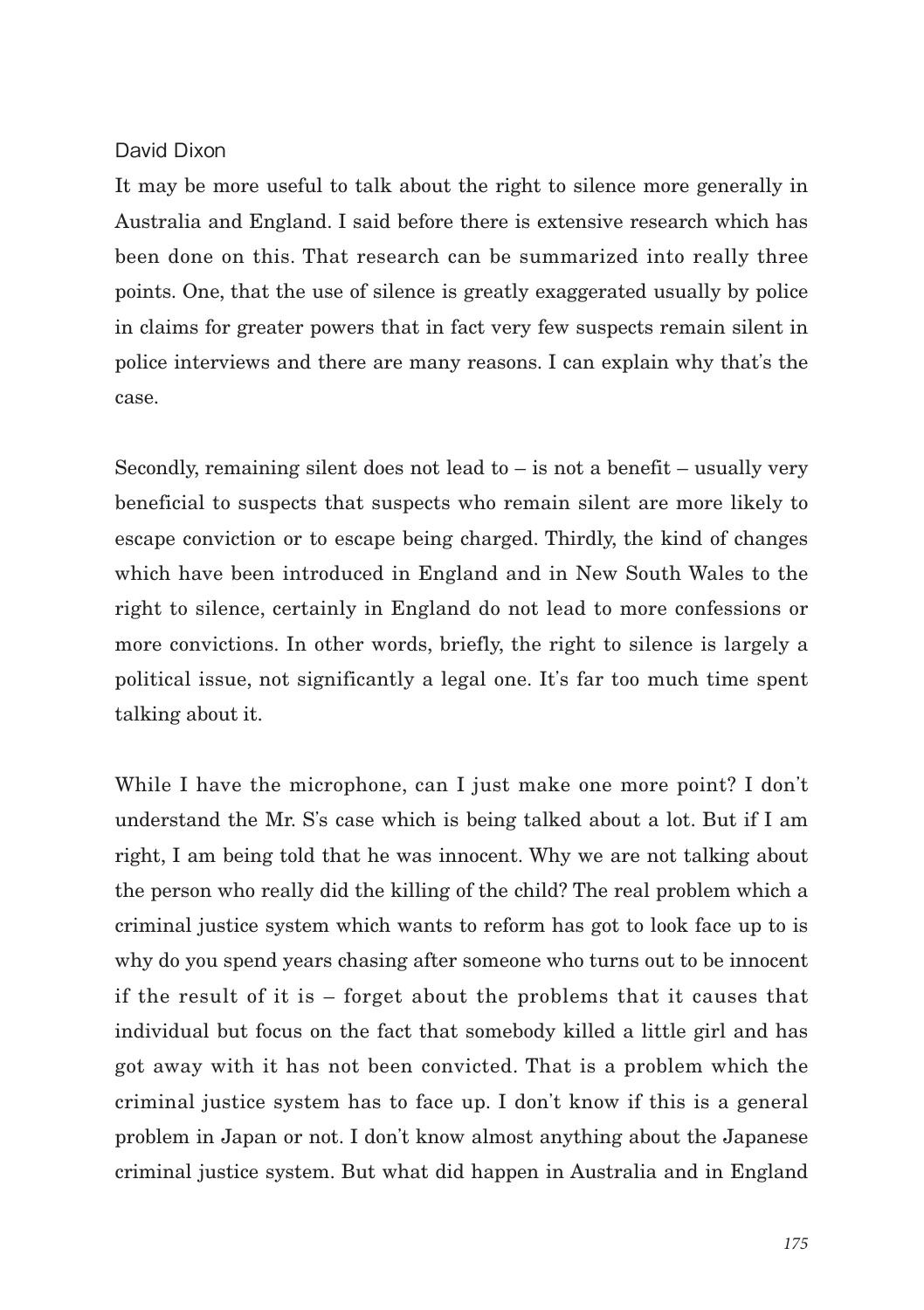### David Dixon

It may be more useful to talk about the right to silence more generally in Australia and England. I said before there is extensive research which has been done on this. That research can be summarized into really three points. One, that the use of silence is greatly exaggerated usually by police in claims for greater powers that in fact very few suspects remain silent in police interviews and there are many reasons. I can explain why that's the case.

Secondly, remaining silent does not lead to  $-$  is not a benefit  $-$  usually very beneficial to suspects that suspects who remain silent are more likely to escape conviction or to escape being charged. Thirdly, the kind of changes which have been introduced in England and in New South Wales to the right to silence, certainly in England do not lead to more confessions or more convictions. In other words, briefly, the right to silence is largely a political issue, not significantly a legal one. It's far too much time spent talking about it.

While I have the microphone, can I just make one more point? I don't understand the Mr. S's case which is being talked about a lot. But if I am right, I am being told that he was innocent. Why we are not talking about the person who really did the killing of the child? The real problem which a criminal justice system which wants to reform has got to look face up to is why do you spend years chasing after someone who turns out to be innocent if the result of it is – forget about the problems that it causes that individual but focus on the fact that somebody killed a little girl and has got away with it has not been convicted. That is a problem which the criminal justice system has to face up. I don't know if this is a general problem in Japan or not. I don't know almost anything about the Japanese criminal justice system. But what did happen in Australia and in England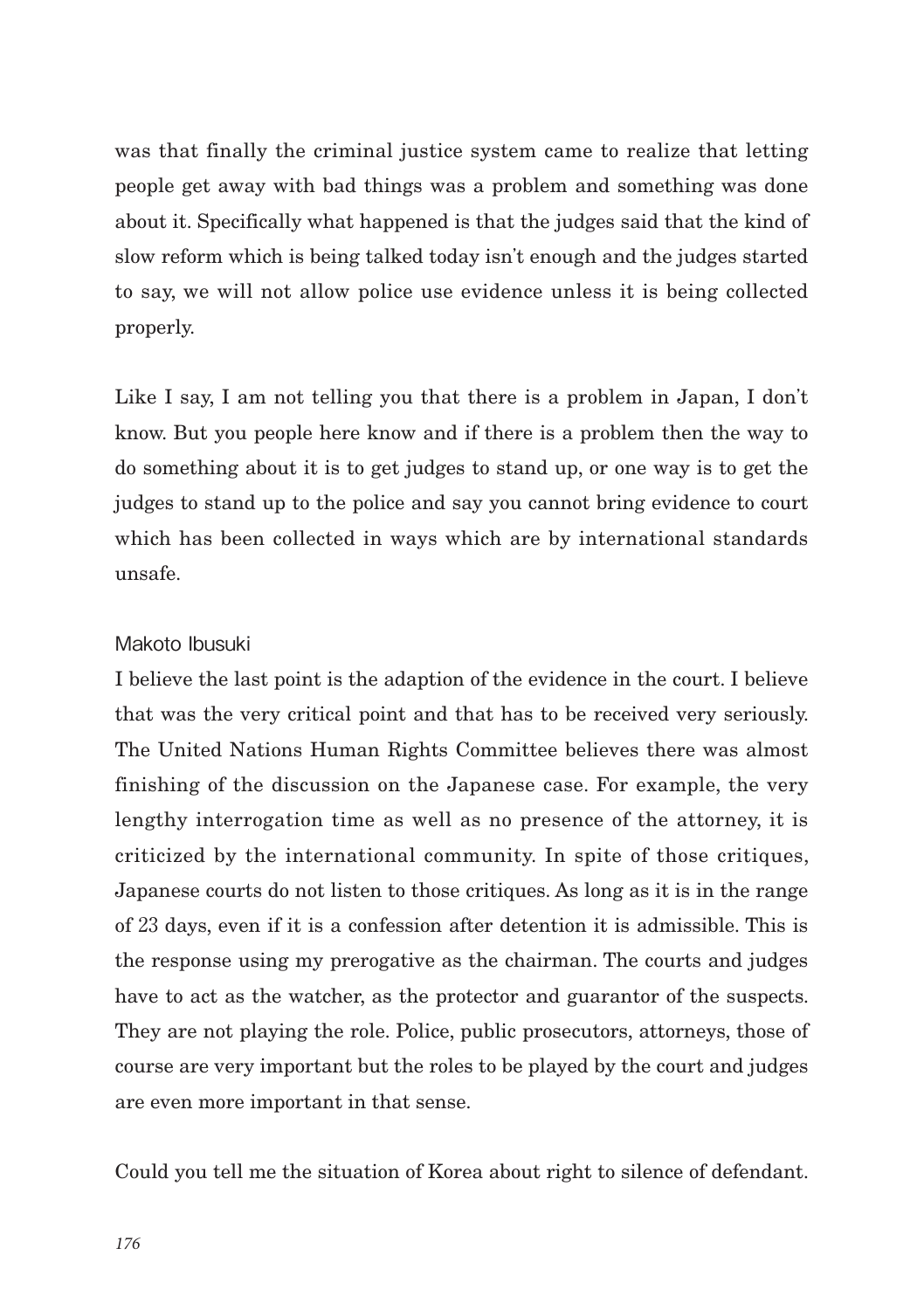was that finally the criminal justice system came to realize that letting people get away with bad things was a problem and something was done about it. Specifically what happened is that the judges said that the kind of slow reform which is being talked today isn't enough and the judges started to say, we will not allow police use evidence unless it is being collected properly.

Like I say, I am not telling you that there is a problem in Japan, I don't know. But you people here know and if there is a problem then the way to do something about it is to get judges to stand up, or one way is to get the judges to stand up to the police and say you cannot bring evidence to court which has been collected in ways which are by international standards unsafe.

### Makoto Ibusuki

I believe the last point is the adaption of the evidence in the court. I believe that was the very critical point and that has to be received very seriously. The United Nations Human Rights Committee believes there was almost finishing of the discussion on the Japanese case. For example, the very lengthy interrogation time as well as no presence of the attorney, it is criticized by the international community. In spite of those critiques, Japanese courts do not listen to those critiques. As long as it is in the range of 23 days, even if it is a confession after detention it is admissible. This is the response using my prerogative as the chairman. The courts and judges have to act as the watcher, as the protector and guarantor of the suspects. They are not playing the role. Police, public prosecutors, attorneys, those of course are very important but the roles to be played by the court and judges are even more important in that sense.

Could you tell me the situation of Korea about right to silence of defendant.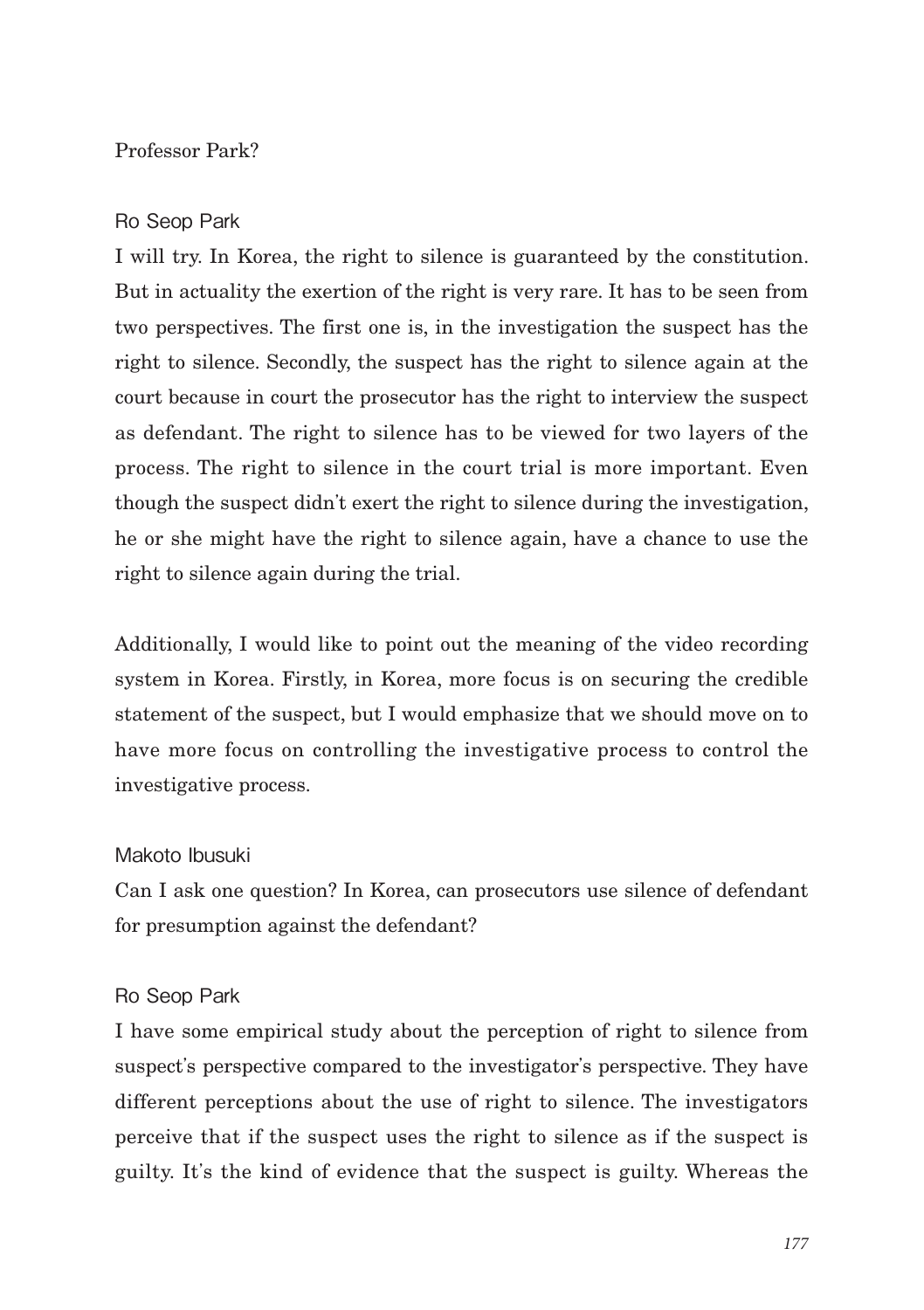## Professor Park?

#### Ro Seop Park

I will try. In Korea, the right to silence is guaranteed by the constitution. But in actuality the exertion of the right is very rare. It has to be seen from two perspectives. The first one is, in the investigation the suspect has the right to silence. Secondly, the suspect has the right to silence again at the court because in court the prosecutor has the right to interview the suspect as defendant. The right to silence has to be viewed for two layers of the process. The right to silence in the court trial is more important. Even though the suspect didn't exert the right to silence during the investigation, he or she might have the right to silence again, have a chance to use the right to silence again during the trial.

Additionally, I would like to point out the meaning of the video recording system in Korea. Firstly, in Korea, more focus is on securing the credible statement of the suspect, but I would emphasize that we should move on to have more focus on controlling the investigative process to control the investigative process.

### Makoto Ibusuki

Can I ask one question? In Korea, can prosecutors use silence of defendant for presumption against the defendant?

#### Ro Seop Park

I have some empirical study about the perception of right to silence from suspect's perspective compared to the investigator's perspective. They have different perceptions about the use of right to silence. The investigators perceive that if the suspect uses the right to silence as if the suspect is guilty. It's the kind of evidence that the suspect is guilty. Whereas the